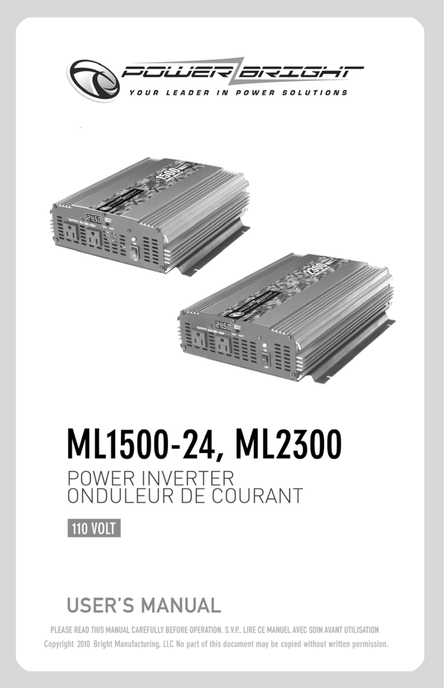



# ML1500-24, ML2300 POWER INVERTER<br>ONDULEUR DE COURANT



# **USER'S MANUAL**

PLEASE READ THIS MANUAL CAREFULLY BEFORE OPERATION. S.V.P., LIRE CE MANUEL AVEC SOIN AVANT UTILISATION Copyright 2010 Bright Manufacturing, LLC No part of this document may be copied without written permission.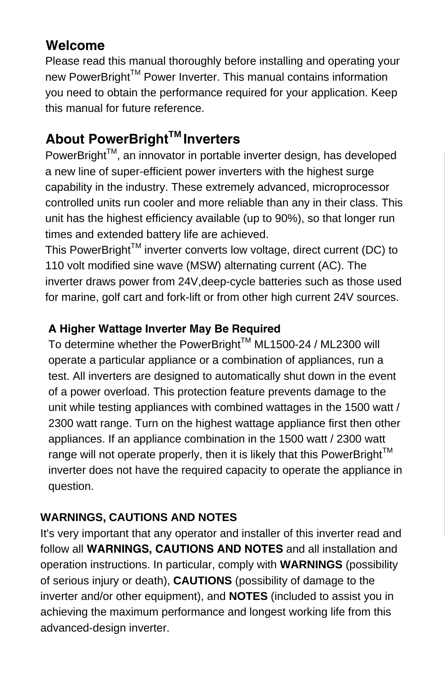## **Welcome**

Please read this manual thoroughly before installing and operating your new PowerBright™ Power Inverter. This manual contains information you need to obtain the performance required for your application. Keep this manual for future reference.

## **About PowerBrightTM Inverters**

PowerBright™, an innovator in portable inverter design, has developed a new line of super-efficient power inverters with the highest surge capability in the industry. These extremely advanced, microprocessor controlled units run cooler and more reliable than any in their class. This unit has the highest efficiency available (up to 90%), so that longer run times and extended battery life are achieved.

This PowerBright<sup>TM</sup> inverter converts low voltage, direct current (DC) to 110 volt modified sine wave (MSW) alternating current (AC). The inverter draws power from 24V,deep-cycle batteries such as those used for marine, golf cart and fork-lift or from other high current 24V sources.

#### **A Higher Wattage Inverter May Be Required**

To determine whether the PowerBright™ ML1500-24 / ML2300 will operate a particular appliance or a combination of appliances, run a test. All inverters are designed to automatically shut down in the event of a power overload. This protection feature prevents damage to the unit while testing appliances with combined wattages in the 1500 watt / 2300 watt range. Turn on the highest wattage appliance first then other appliances. If an appliance combination in the 1500 watt / 2300 watt range will not operate properly, then it is likely that this PowerBright<sup>TM</sup> inverter does not have the required capacity to operate the appliance in question.

#### **WARNINGS, CAUTIONS AND NOTES**

It's very important that any operator and installer of this inverter read and follow all **WARNINGS, CAUTIONS AND NOTES** and all installation and operation instructions. In particular, comply with **WARNINGS** (possibility of serious injury or death), **CAUTIONS** (possibility of damage to the inverter and/or other equipment), and **NOTES** (included to assist you in achieving the maximum performance and longest working life from this advanced-design inverter.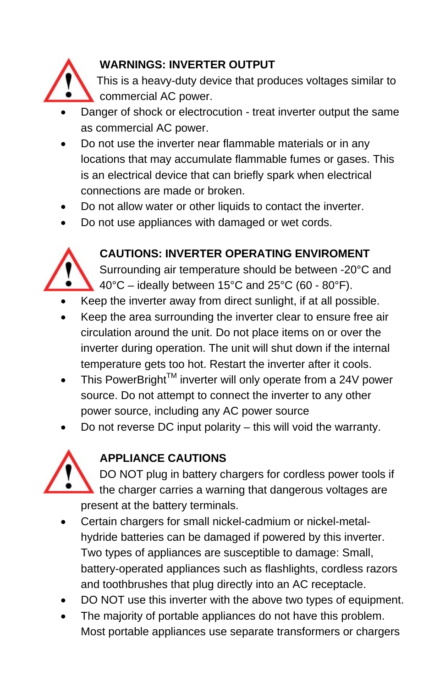

#### **WARNINGS: INVERTER OUTPUT**

 This is a heavy-duty device that produces voltages similar to commercial AC power.

- Danger of shock or electrocution treat inverter output the same as commercial AC power.
- Do not use the inverter near flammable materials or in any locations that may accumulate flammable fumes or gases. This is an electrical device that can briefly spark when electrical connections are made or broken.
- Do not allow water or other liquids to contact the inverter.
- Do not use appliances with damaged or wet cords.



#### **CAUTIONS: INVERTER OPERATING ENVIROMENT**

• Surrounding air temperature should be between -20°C and  $\bullet$  40°C – ideally between 15°C and 25°C (60 - 80°F).

- Keep the inverter away from direct sunlight, if at all possible.
- Keep the area surrounding the inverter clear to ensure free air circulation around the unit. Do not place items on or over the inverter during operation. The unit will shut down if the internal temperature gets too hot. Restart the inverter after it cools.
- This PowerBright<sup>™</sup> inverter will only operate from a 24V power source. Do not attempt to connect the inverter to any other power source, including any AC power source
- Do not reverse DC input polarity this will void the warranty.



#### **APPLIANCE CAUTIONS**

• DO NOT plug in battery chargers for cordless power tools if the charger carries a warning that dangerous voltages are present at the battery terminals.

- Certain chargers for small nickel-cadmium or nickel-metalhydride batteries can be damaged if powered by this inverter. Two types of appliances are susceptible to damage: Small, battery-operated appliances such as flashlights, cordless razors and toothbrushes that plug directly into an AC receptacle.
- DO NOT use this inverter with the above two types of equipment.
- The majority of portable appliances do not have this problem. Most portable appliances use separate transformers or chargers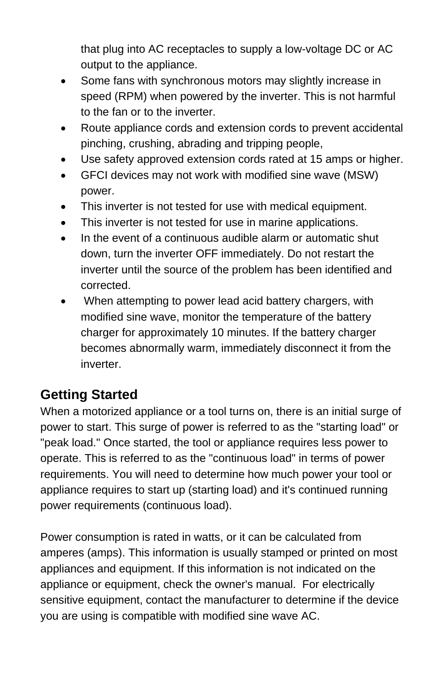that plug into AC receptacles to supply a low-voltage DC or AC output to the appliance.

- Some fans with synchronous motors may slightly increase in speed (RPM) when powered by the inverter. This is not harmful to the fan or to the inverter.
- Route appliance cords and extension cords to prevent accidental pinching, crushing, abrading and tripping people,
- Use safety approved extension cords rated at 15 amps or higher.
- GFCI devices may not work with modified sine wave (MSW) power.
- This inverter is not tested for use with medical equipment.
- This inverter is not tested for use in marine applications.
- In the event of a continuous audible alarm or automatic shut down, turn the inverter OFF immediately. Do not restart the inverter until the source of the problem has been identified and corrected.
- When attempting to power lead acid battery chargers, with modified sine wave, monitor the temperature of the battery charger for approximately 10 minutes. If the battery charger becomes abnormally warm, immediately disconnect it from the inverter.

## **Getting Started**

When a motorized appliance or a tool turns on, there is an initial surge of power to start. This surge of power is referred to as the "starting load" or "peak load." Once started, the tool or appliance requires less power to operate. This is referred to as the "continuous load" in terms of power requirements. You will need to determine how much power your tool or appliance requires to start up (starting load) and it's continued running power requirements (continuous load).

Power consumption is rated in watts, or it can be calculated from amperes (amps). This information is usually stamped or printed on most appliances and equipment. If this information is not indicated on the appliance or equipment, check the owner's manual. For electrically sensitive equipment, contact the manufacturer to determine if the device you are using is compatible with modified sine wave AC.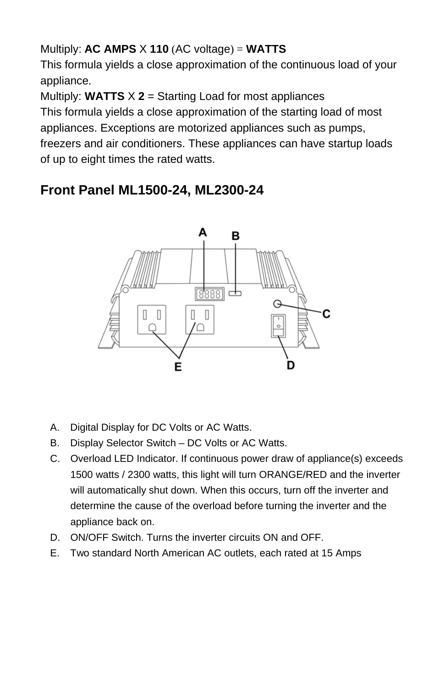#### Multiply: **AC AMPS** X **110** (AC voltage) = **WATTS**

This formula yields a close approximation of the continuous load of your appliance.

Multiply: **WATTS**  $\times$  **2** = Starting Load for most appliances

This formula yields a close approximation of the starting load of most appliances. Exceptions are motorized appliances such as pumps, freezers and air conditioners. These appliances can have startup loads of up to eight times the rated watts.

## **Front Panel ML1500-24, ML2300-24**



- A. Digital Display for DC Volts or AC Watts.
- B. Display Selector Switch DC Volts or AC Watts.
- C. Overload LED Indicator. If continuous power draw of appliance(s) exceeds 1500 watts / 2300 watts, this light will turn ORANGE/RED and the inverter will automatically shut down. When this occurs, turn off the inverter and determine the cause of the overload before turning the inverter and the appliance back on.
- D. ON/OFF Switch. Turns the inverter circuits ON and OFF.
- E. Two standard North American AC outlets, each rated at 15 Amps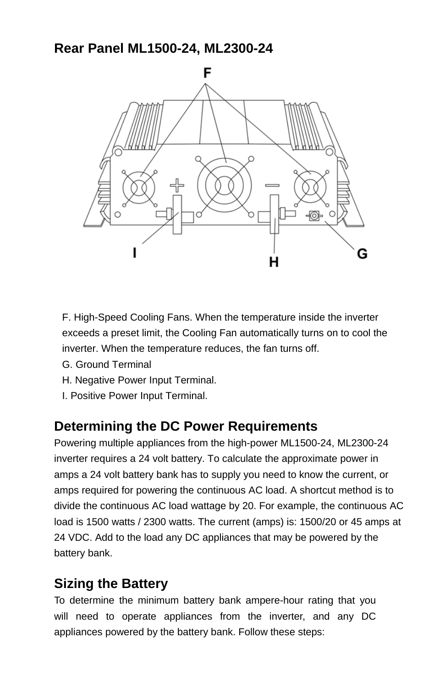#### **Rear Panel ML1500-24, ML2300-24**



F. High-Speed Cooling Fans. When the temperature inside the inverter exceeds a preset limit, the Cooling Fan automatically turns on to cool the inverter. When the temperature reduces, the fan turns off.

- G. Ground Terminal
- H. Negative Power Input Terminal.
- I. Positive Power Input Terminal.

#### **Determining the DC Power Requirements**

Powering multiple appliances from the high-power ML1500-24, ML2300-24 inverter requires a 24 volt battery. To calculate the approximate power in amps a 24 volt battery bank has to supply you need to know the current, or amps required for powering the continuous AC load. A shortcut method is to divide the continuous AC load wattage by 20. For example, the continuous AC load is 1500 watts / 2300 watts. The current (amps) is: 1500/20 or 45 amps at 24 VDC. Add to the load any DC appliances that may be powered by the battery bank.

#### **Sizing the Battery**

To determine the minimum battery bank ampere-hour rating that you will need to operate appliances from the inverter, and any DC appliances powered by the battery bank. Follow these steps: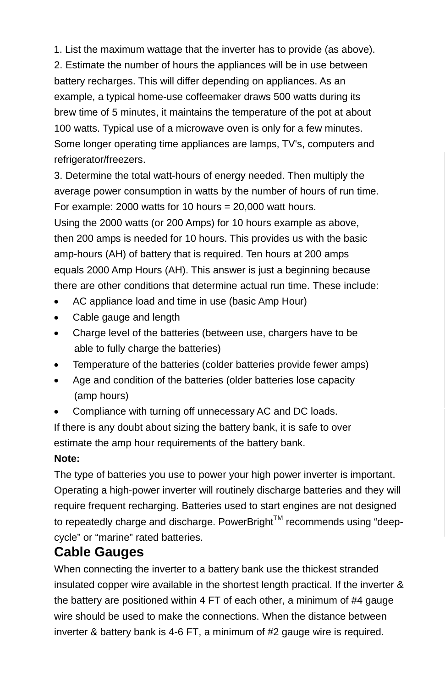1. List the maximum wattage that the inverter has to provide (as above). 2. Estimate the number of hours the appliances will be in use between battery recharges. This will differ depending on appliances. As an example, a typical home-use coffeemaker draws 500 watts during its brew time of 5 minutes, it maintains the temperature of the pot at about 100 watts. Typical use of a microwave oven is only for a few minutes. Some longer operating time appliances are lamps, TV's, computers and refrigerator/freezers.

3. Determine the total watt-hours of energy needed. Then multiply the average power consumption in watts by the number of hours of run time. For example: 2000 watts for 10 hours  $= 20,000$  watt hours.

Using the 2000 watts (or 200 Amps) for 10 hours example as above, then 200 amps is needed for 10 hours. This provides us with the basic amp-hours (AH) of battery that is required. Ten hours at 200 amps equals 2000 Amp Hours (AH). This answer is just a beginning because there are other conditions that determine actual run time. These include:

- AC appliance load and time in use (basic Amp Hour)
- Cable gauge and length
- Charge level of the batteries (between use, chargers have to be able to fully charge the batteries)
- Temperature of the batteries (colder batteries provide fewer amps)
- Age and condition of the batteries (older batteries lose capacity (amp hours)
- Compliance with turning off unnecessary AC and DC loads.

If there is any doubt about sizing the battery bank, it is safe to over estimate the amp hour requirements of the battery bank.

#### **Note:**

The type of batteries you use to power your high power inverter is important. Operating a high-power inverter will routinely discharge batteries and they will require frequent recharging. Batteries used to start engines are not designed to repeatedly charge and discharge. PowerBright™ recommends using "deepcycle" or "marine" rated batteries.

#### **Cable Gauges**

When connecting the inverter to a battery bank use the thickest stranded insulated copper wire available in the shortest length practical. If the inverter & the battery are positioned within 4 FT of each other, a minimum of #4 gauge wire should be used to make the connections. When the distance between inverter & battery bank is 4-6 FT, a minimum of #2 gauge wire is required.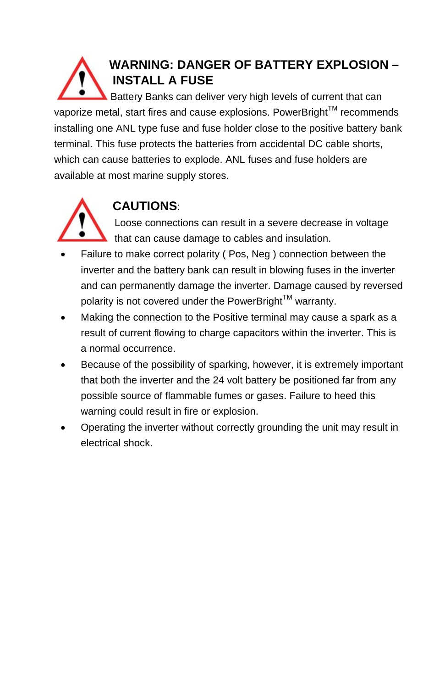## **WARNING: DANGER OF BATTERY EXPLOSION – INSTALL A FUSE**

Battery Banks can deliver very high levels of current that can vaporize metal, start fires and cause explosions. PowerBright<sup>IM</sup> recommends installing one ANL type fuse and fuse holder close to the positive battery bank terminal. This fuse protects the batteries from accidental DC cable shorts, which can cause batteries to explode. ANL fuses and fuse holders are available at most marine supply stores.



## **CAUTIONS**:

Loose connections can result in a severe decrease in voltage  $\blacksquare$  that can cause damage to cables and insulation.

- Failure to make correct polarity ( Pos, Neg ) connection between the inverter and the battery bank can result in blowing fuses in the inverter and can permanently damage the inverter. Damage caused by reversed polarity is not covered under the PowerBright $^{TM}$  warranty.
- Making the connection to the Positive terminal may cause a spark as a result of current flowing to charge capacitors within the inverter. This is a normal occurrence.
- Because of the possibility of sparking, however, it is extremely important that both the inverter and the 24 volt battery be positioned far from any possible source of flammable fumes or gases. Failure to heed this warning could result in fire or explosion.
- Operating the inverter without correctly grounding the unit may result in electrical shock.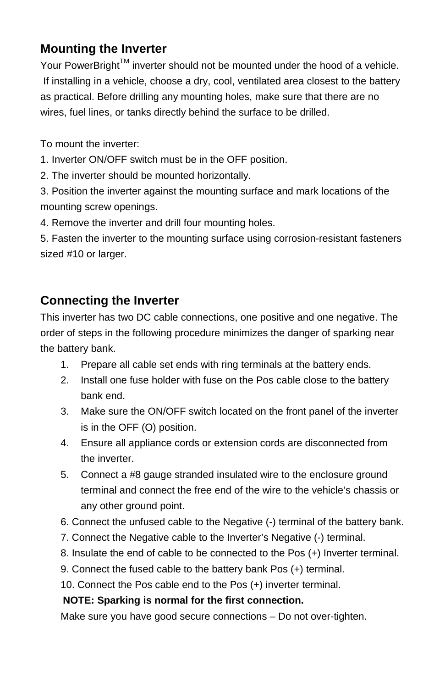#### **Mounting the Inverter**

Your PowerBright $^{TM}$  inverter should not be mounted under the hood of a vehicle. If installing in a vehicle, choose a dry, cool, ventilated area closest to the battery as practical. Before drilling any mounting holes, make sure that there are no wires, fuel lines, or tanks directly behind the surface to be drilled.

To mount the inverter:

1. Inverter ON/OFF switch must be in the OFF position.

2. The inverter should be mounted horizontally.

3. Position the inverter against the mounting surface and mark locations of the mounting screw openings.

4. Remove the inverter and drill four mounting holes.

5. Fasten the inverter to the mounting surface using corrosion-resistant fasteners sized #10 or larger.

#### **Connecting the Inverter**

This inverter has two DC cable connections, one positive and one negative. The order of steps in the following procedure minimizes the danger of sparking near the battery bank.

- 1. Prepare all cable set ends with ring terminals at the battery ends.
- 2. Install one fuse holder with fuse on the Pos cable close to the battery bank end.
- 3. Make sure the ON/OFF switch located on the front panel of the inverter is in the OFF (O) position.
- 4. Ensure all appliance cords or extension cords are disconnected from the inverter.
- 5. Connect a #8 gauge stranded insulated wire to the enclosure ground terminal and connect the free end of the wire to the vehicle's chassis or any other ground point.
- 6. Connect the unfused cable to the Negative (-) terminal of the battery bank.
- 7. Connect the Negative cable to the Inverter's Negative (-) terminal.
- 8. Insulate the end of cable to be connected to the Pos (+) Inverter terminal.
- 9. Connect the fused cable to the battery bank Pos (+) terminal.
- 10. Connect the Pos cable end to the Pos (+) inverter terminal.

#### **NOTE: Sparking is normal for the first connection.**

Make sure you have good secure connections – Do not over-tighten.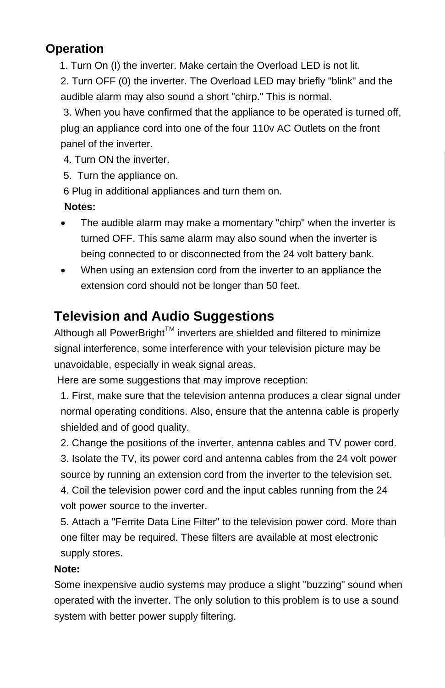#### **Operation**

1. Turn On (I) the inverter. Make certain the Overload LED is not lit.

2. Turn OFF (0) the inverter. The Overload LED may briefly "blink" and the audible alarm may also sound a short "chirp." This is normal.

 3. When you have confirmed that the appliance to be operated is turned off, plug an appliance cord into one of the four 110v AC Outlets on the front panel of the inverter.

4. Turn ON the inverter.

5. Turn the appliance on.

6 Plug in additional appliances and turn them on.

#### **Notes:**

- The audible alarm may make a momentary "chirp" when the inverter is turned OFF. This same alarm may also sound when the inverter is being connected to or disconnected from the 24 volt battery bank.
- When using an extension cord from the inverter to an appliance the extension cord should not be longer than 50 feet.

## **Television and Audio Suggestions**

Although all PowerBright™ inverters are shielded and filtered to minimize signal interference, some interference with your television picture may be unavoidable, especially in weak signal areas.

Here are some suggestions that may improve reception:

1. First, make sure that the television antenna produces a clear signal under normal operating conditions. Also, ensure that the antenna cable is properly shielded and of good quality.

2. Change the positions of the inverter, antenna cables and TV power cord.

3. Isolate the TV, its power cord and antenna cables from the 24 volt power source by running an extension cord from the inverter to the television set.

4. Coil the television power cord and the input cables running from the 24 volt power source to the inverter.

5. Attach a "Ferrite Data Line Filter" to the television power cord. More than one filter may be required. These filters are available at most electronic supply stores.

#### **Note:**

Some inexpensive audio systems may produce a slight "buzzing" sound when operated with the inverter. The only solution to this problem is to use a sound system with better power supply filtering.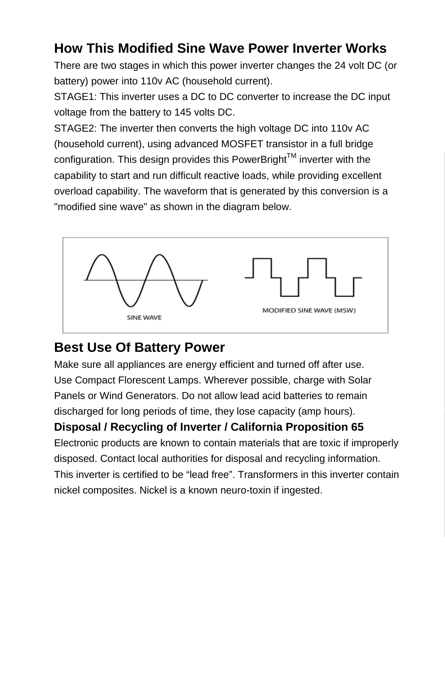## **How This Modified Sine Wave Power Inverter Works**

There are two stages in which this power inverter changes the 24 volt DC (or battery) power into 110v AC (household current).

STAGE1: This inverter uses a DC to DC converter to increase the DC input voltage from the battery to 145 volts DC.

STAGE2: The inverter then converts the high voltage DC into 110v AC (household current), using advanced MOSFET transistor in a full bridge configuration. This design provides this PowerBright™ inverter with the capability to start and run difficult reactive loads, while providing excellent overload capability. The waveform that is generated by this conversion is a "modified sine wave" as shown in the diagram below.



## **Best Use Of Battery Power**

Make sure all appliances are energy efficient and turned off after use. Use Compact Florescent Lamps. Wherever possible, charge with Solar Panels or Wind Generators. Do not allow lead acid batteries to remain discharged for long periods of time, they lose capacity (amp hours).

#### **Disposal / Recycling of Inverter / California Proposition 65**

Electronic products are known to contain materials that are toxic if improperly disposed. Contact local authorities for disposal and recycling information. This inverter is certified to be "lead free". Transformers in this inverter contain nickel composites. Nickel is a known neuro-toxin if ingested.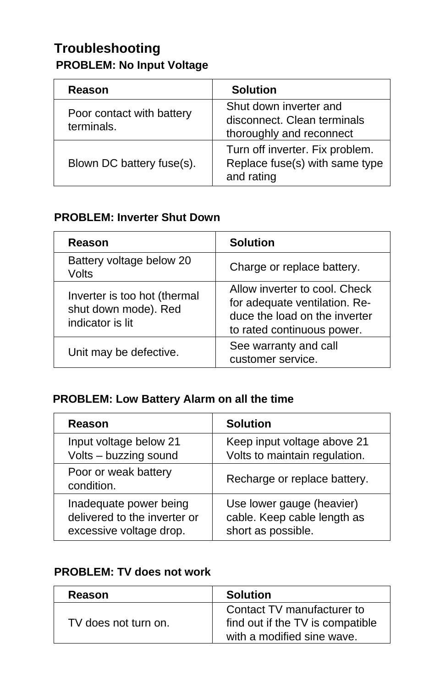## **Troubleshooting PROBLEM: No Input Voltage**

| Reason                                  | <b>Solution</b>                                                                   |
|-----------------------------------------|-----------------------------------------------------------------------------------|
| Poor contact with battery<br>terminals. | Shut down inverter and<br>disconnect. Clean terminals<br>thoroughly and reconnect |
| Blown DC battery fuse(s).               | Turn off inverter. Fix problem.<br>Replace fuse(s) with same type<br>and rating   |

#### **PROBLEM: Inverter Shut Down**

| Reason                                                                   | <b>Solution</b>                                                                                                               |  |
|--------------------------------------------------------------------------|-------------------------------------------------------------------------------------------------------------------------------|--|
| Battery voltage below 20<br>Volts                                        | Charge or replace battery.                                                                                                    |  |
| Inverter is too hot (thermal<br>shut down mode). Red<br>indicator is lit | Allow inverter to cool. Check<br>for adequate ventilation. Re-<br>duce the load on the inverter<br>to rated continuous power. |  |
| Unit may be defective.                                                   | See warranty and call<br>customer service.                                                                                    |  |

#### **PROBLEM: Low Battery Alarm on all the time**

| Reason                             | <b>Solution</b>               |  |
|------------------------------------|-------------------------------|--|
| Input voltage below 21             | Keep input voltage above 21   |  |
| Volts - buzzing sound              | Volts to maintain regulation. |  |
| Poor or weak battery<br>condition. | Recharge or replace battery.  |  |
| Inadequate power being             | Use lower gauge (heavier)     |  |
| delivered to the inverter or       | cable. Keep cable length as   |  |
| excessive voltage drop.            | short as possible.            |  |

#### **PROBLEM: TV does not work**

| Reason               | <b>Solution</b>                                                                              |
|----------------------|----------------------------------------------------------------------------------------------|
| TV does not turn on. | Contact TV manufacturer to<br>find out if the TV is compatible<br>with a modified sine wave. |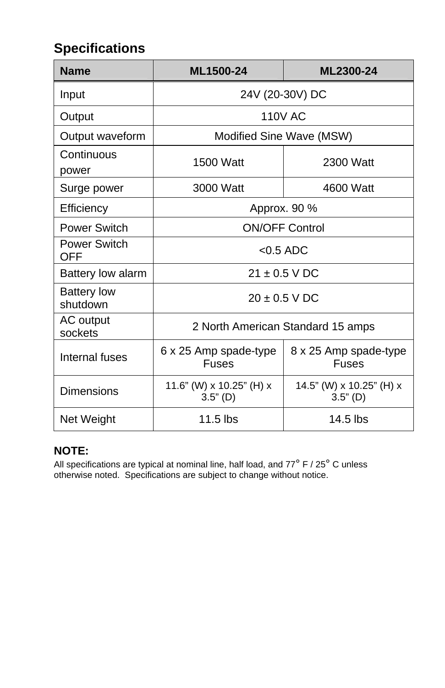## **Specifications**

| <b>Name</b>                    | ML1500-24                              | ML2300-24                              |
|--------------------------------|----------------------------------------|----------------------------------------|
| Input                          | 24V (20-30V) DC                        |                                        |
| Output                         | <b>110V AC</b>                         |                                        |
| Output waveform                | Modified Sine Wave (MSW)               |                                        |
| Continuous<br>power            | 1500 Watt                              | 2300 Watt                              |
| Surge power                    | 3000 Watt                              | 4600 Watt                              |
| Efficiency                     | Approx. 90 %                           |                                        |
| Power Switch                   | <b>ON/OFF Control</b>                  |                                        |
| Power Switch<br><b>OFF</b>     | $< 0.5$ ADC                            |                                        |
| Battery low alarm              | $21 \pm 0.5$ V DC                      |                                        |
| <b>Battery low</b><br>shutdown | $20 + 0.5$ V DC                        |                                        |
| AC output<br>sockets           | 2 North American Standard 15 amps      |                                        |
| Internal fuses                 | 6 x 25 Amp spade-type<br><b>Fuses</b>  | 8 x 25 Amp spade-type<br><b>Fuses</b>  |
| Dimensions                     | 11.6" (W) x 10.25" (H) x<br>$3.5"$ (D) | 14.5" (W) x 10.25" (H) x<br>$3.5"$ (D) |
| Net Weight                     | $11.5$ lbs                             | 14.5 lbs                               |

#### **NOTE:**

All specifications are typical at nominal line, half load, and 77° F / 25° C unless otherwise noted. Specifications are subject to change without notice.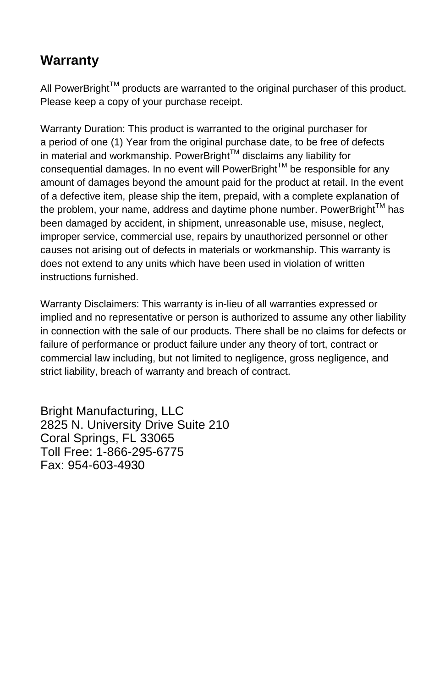## **Warranty**

All PowerBright<sup>TM</sup> products are warranted to the original purchaser of this product. Please keep a copy of your purchase receipt.

Warranty Duration: This product is warranted to the original purchaser for a period of one (1) Year from the original purchase date, to be free of defects in material and workmanship. PowerBright<sup>TM</sup> disclaims any liability for consequential damages. In no event will PowerBright™ be responsible for any amount of damages beyond the amount paid for the product at retail. In the event of a defective item, please ship the item, prepaid, with a complete explanation of the problem, your name, address and daytime phone number. PowerBright<sup>TM</sup> has been damaged by accident, in shipment, unreasonable use, misuse, neglect, improper service, commercial use, repairs by unauthorized personnel or other causes not arising out of defects in materials or workmanship. This warranty is does not extend to any units which have been used in violation of written instructions furnished.

Warranty Disclaimers: This warranty is in-lieu of all warranties expressed or implied and no representative or person is authorized to assume any other liability in connection with the sale of our products. There shall be no claims for defects or failure of performance or product failure under any theory of tort, contract or commercial law including, but not limited to negligence, gross negligence, and strict liability, breach of warranty and breach of contract.

Bright Manufacturing, LLC 2825 N. University Drive Suite 210 Coral Springs, FL 33065 Toll Free: 1-866-295-6775 Fax: 954-603-4930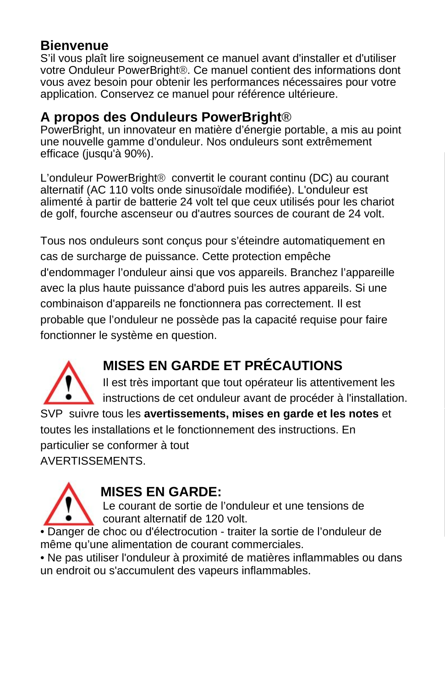#### **Bienvenue**

S'il vous plaît lire soigneusement ce manuel avant d'installer et d'utiliser votre Onduleur PowerBright®. Ce manuel contient des informations dont vous avez besoin pour obtenir les performances nécessaires pour votre application. Conservez ce manuel pour référence ultérieure.

#### **A propos des Onduleurs PowerBright®**

PowerBright, un innovateur en matière d'énergie portable, a mis au point une nouvelle gamme d'onduleur. Nos onduleurs sont extrêmement efficace (jusqu'à 90%).

L'onduleur PowerBright® convertit le courant continu (DC) au courant alternatif (AC 110 volts onde sinusoïdale modifiée). L'onduleur est alimenté à partir de batterie 24 volt tel que ceux utilisés pour les chariot de golf, fourche ascenseur ou d'autres sources de courant de 24 volt.

Tous nos onduleurs sont conçus pour s'éteindre automatiquement en cas de surcharge de puissance. Cette protection empêche d'endommager l'onduleur ainsi que vos appareils. Branchez l'appareille avec la plus haute puissance d'abord puis les autres appareils. Si une combinaison d'appareils ne fonctionnera pas correctement. Il est probable que l'onduleur ne possède pas la capacité requise pour faire fonctionner le système en question.



## **MISES EN GARDE ET PRÉCAUTIONS**

 Il est très important que tout opérateur lis attentivement les instructions de cet onduleur avant de procéder à l'installation.

SVP suivre tous les **avertissements, mises en garde et les notes** et toutes les installations et le fonctionnement des instructions. En particulier se conformer à tout AVERTISSEMENTS.



## **MISES EN GARDE:**

Le courant de sortie de l'onduleur et une tensions de courant alternatif de 120 volt.

• Danger de choc ou d'électrocution - traiter la sortie de l'onduleur de même qu'une alimentation de courant commerciales.

• Ne pas utiliser l'onduleur à proximité de matières inflammables ou dans un endroit ou s'accumulent des vapeurs inflammables.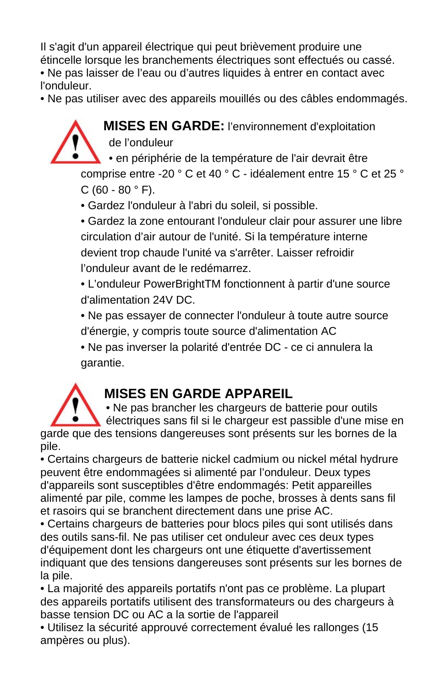Il s'agit d'un appareil électrique qui peut brièvement produire une étincelle lorsque les branchements électriques sont effectués ou cassé. • Ne pas laisser de l'eau ou d'autres liquides à entrer en contact avec l'onduleur.

• Ne pas utiliser avec des appareils mouillés ou des câbles endommagés.



• **MISES EN GARDE:** l'environnement d'exploitation de l'onduleur

• en périphérie de la température de l'air devrait être

comprise entre -20 ° C et 40 ° C - idéalement entre 15 ° C et 25 ° C (60 - 80  $^{\circ}$  F).

• Gardez l'onduleur à l'abri du soleil, si possible.

• Gardez la zone entourant l'onduleur clair pour assurer une libre circulation d'air autour de l'unité. Si la température interne devient trop chaude l'unité va s'arrêter. Laisser refroidir l'onduleur avant de le redémarrez.

• L'onduleur PowerBrightTM fonctionnent à partir d'une source d'alimentation 24V DC.

• Ne pas essayer de connecter l'onduleur à toute autre source d'énergie, y compris toute source d'alimentation AC

• Ne pas inverser la polarité d'entrée DC - ce ci annulera la garantie.



## **MISES EN GARDE APPAREIL**

• Ne pas brancher les chargeurs de batterie pour outils

 électriques sans fil si le chargeur est passible d'une mise en garde que des tensions dangereuses sont présents sur les bornes de la pile.

• Certains chargeurs de batterie nickel cadmium ou nickel métal hydrure peuvent être endommagées si alimenté par l'onduleur. Deux types d'appareils sont susceptibles d'être endommagés: Petit appareilles alimenté par pile, comme les lampes de poche, brosses à dents sans fil et rasoirs qui se branchent directement dans une prise AC.

• Certains chargeurs de batteries pour blocs piles qui sont utilisés dans des outils sans-fil. Ne pas utiliser cet onduleur avec ces deux types d'équipement dont les chargeurs ont une étiquette d'avertissement indiquant que des tensions dangereuses sont présents sur les bornes de la pile.

• La majorité des appareils portatifs n'ont pas ce problème. La plupart des appareils portatifs utilisent des transformateurs ou des chargeurs à basse tension DC ou AC a la sortie de l'appareil

• Utilisez la sécurité approuvé correctement évalué les rallonges (15 ampères ou plus).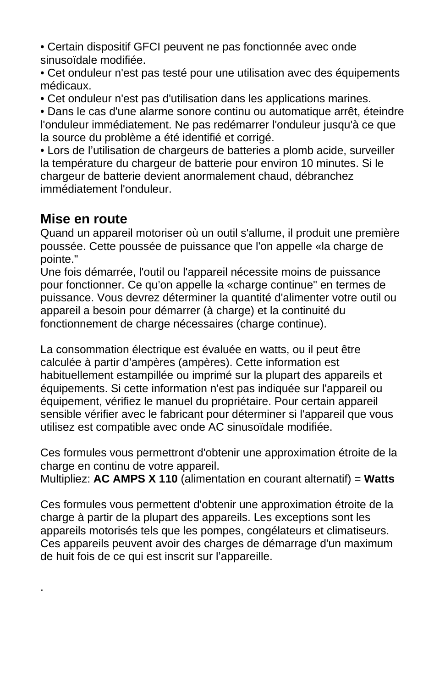• Certain dispositif GFCI peuvent ne pas fonctionnée avec onde sinusoïdale modifiée.

• Cet onduleur n'est pas testé pour une utilisation avec des équipements médicaux.

• Cet onduleur n'est pas d'utilisation dans les applications marines.

• Dans le cas d'une alarme sonore continu ou automatique arrêt, éteindre l'onduleur immédiatement. Ne pas redémarrer l'onduleur jusqu'à ce que la source du problème a été identifié et corrigé.

• Lors de l'utilisation de chargeurs de batteries a plomb acide, surveiller la température du chargeur de batterie pour environ 10 minutes. Si le chargeur de batterie devient anormalement chaud, débranchez immédiatement l'onduleur.

#### **Mise en route**

.

Quand un appareil motoriser où un outil s'allume, il produit une première poussée. Cette poussée de puissance que l'on appelle «la charge de pointe."

Une fois démarrée, l'outil ou l'appareil nécessite moins de puissance pour fonctionner. Ce qu'on appelle la «charge continue" en termes de puissance. Vous devrez déterminer la quantité d'alimenter votre outil ou appareil a besoin pour démarrer (à charge) et la continuité du fonctionnement de charge nécessaires (charge continue).

La consommation électrique est évaluée en watts, ou il peut être calculée à partir d'ampères (ampères). Cette information est habituellement estampillée ou imprimé sur la plupart des appareils et équipements. Si cette information n'est pas indiquée sur l'appareil ou équipement, vérifiez le manuel du propriétaire. Pour certain appareil sensible vérifier avec le fabricant pour déterminer si l'appareil que vous utilisez est compatible avec onde AC sinusoïdale modifiée.

Ces formules vous permettront d'obtenir une approximation étroite de la charge en continu de votre appareil.

Multipliez: **AC AMPS X 110** (alimentation en courant alternatif) = **Watts** 

Ces formules vous permettent d'obtenir une approximation étroite de la charge à partir de la plupart des appareils. Les exceptions sont les appareils motorisés tels que les pompes, congélateurs et climatiseurs. Ces appareils peuvent avoir des charges de démarrage d'un maximum de huit fois de ce qui est inscrit sur l'appareille.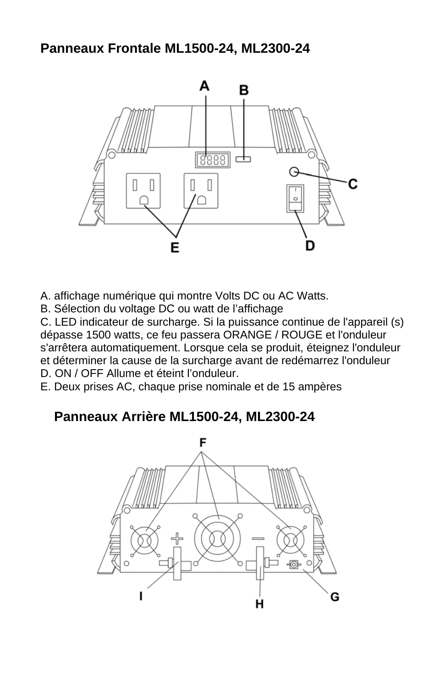#### **Panneaux Frontale ML1500-24, ML2300-24**



A. affichage numérique qui montre Volts DC ou AC Watts.

B. Sélection du voltage DC ou watt de l'affichage

C. LED indicateur de surcharge. Si la puissance continue de l'appareil (s) dépasse 1500 watts, ce feu passera ORANGE / ROUGE et l'onduleur s'arrêtera automatiquement. Lorsque cela se produit, éteignez l'onduleur et déterminer la cause de la surcharge avant de redémarrez l'onduleur D. ON / OFF Allume et éteint l'onduleur.

E. Deux prises AC, chaque prise nominale et de 15 ampères

## **Panneaux Arrière ML1500-24, ML2300-24**

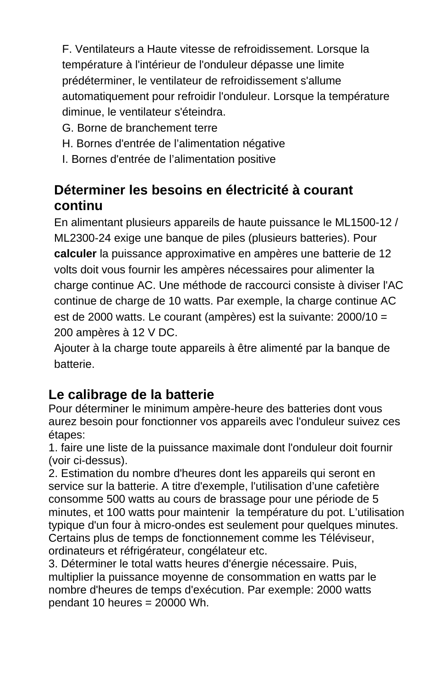F. Ventilateurs a Haute vitesse de refroidissement. Lorsque la température à l'intérieur de l'onduleur dépasse une limite prédéterminer, le ventilateur de refroidissement s'allume automatiquement pour refroidir l'onduleur. Lorsque la température diminue, le ventilateur s'éteindra.

- G. Borne de branchement terre
- H. Bornes d'entrée de l'alimentation négative
- I. Bornes d'entrée de l'alimentation positive

## **Déterminer les besoins en électricité à courant continu**

En alimentant plusieurs appareils de haute puissance le ML1500-12 / ML2300-24 exige une banque de piles (plusieurs batteries). Pour **calculer** la puissance approximative en ampères une batterie de 12 volts doit vous fournir les ampères nécessaires pour alimenter la charge continue AC. Une méthode de raccourci consiste à diviser l'AC continue de charge de 10 watts. Par exemple, la charge continue AC est de 2000 watts. Le courant (ampères) est la suivante: 2000/10 = 200 ampères à 12 V DC.

Ajouter à la charge toute appareils à être alimenté par la banque de batterie.

## **Le calibrage de la batterie**

Pour déterminer le minimum ampère-heure des batteries dont vous aurez besoin pour fonctionner vos appareils avec l'onduleur suivez ces étapes:

1. faire une liste de la puissance maximale dont l'onduleur doit fournir (voir ci-dessus).

2. Estimation du nombre d'heures dont les appareils qui seront en service sur la batterie. A titre d'exemple, l'utilisation d'une cafetière consomme 500 watts au cours de brassage pour une période de 5 minutes, et 100 watts pour maintenir la température du pot. L'utilisation typique d'un four à micro-ondes est seulement pour quelques minutes. Certains plus de temps de fonctionnement comme les Téléviseur, ordinateurs et réfrigérateur, congélateur etc.

3. Déterminer le total watts heures d'énergie nécessaire. Puis, multiplier la puissance moyenne de consommation en watts par le nombre d'heures de temps d'exécution. Par exemple: 2000 watts  $pendant$  10 heures = 20000 Wh.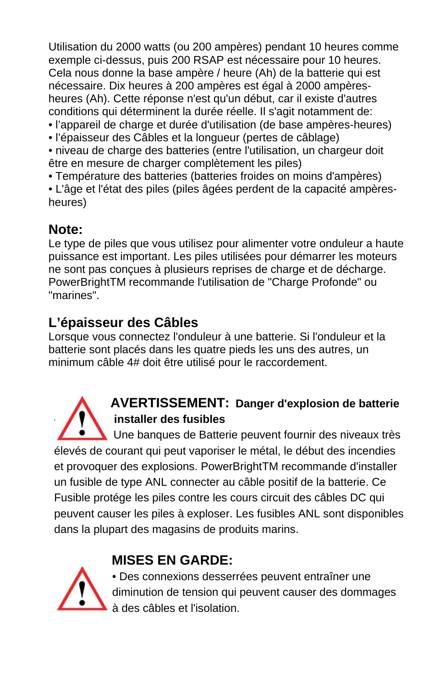Utilisation du 2000 watts (ou 200 ampères) pendant 10 heures comme exemple ci-dessus, puis 200 RSAP est nécessaire pour 10 heures. Cela nous donne la base ampère / heure (Ah) de la batterie qui est nécessaire. Dix heures à 200 ampères est égal à 2000 ampèresheures (Ah). Cette réponse n'est qu'un début, car il existe d'autres conditions qui déterminent la durée réelle. Il s'agit notamment de: • l'appareil de charge et durée d'utilisation (de base ampères-heures)

- l'épaisseur des Câbles et la longueur (pertes de câblage)
- niveau de charge des batteries (entre l'utilisation, un chargeur doit être en mesure de charger complètement les piles)
- Température des batteries (batteries froides on moins d'ampères)

• L'âge et l'état des piles (piles âgées perdent de la capacité ampèresheures)

## **Note:**

Le type de piles que vous utilisez pour alimenter votre onduleur a haute puissance est important. Les piles utilisées pour démarrer les moteurs ne sont pas conçues à plusieurs reprises de charge et de décharge. PowerBrightTM recommande l'utilisation de "Charge Profonde" ou "marines".

## **L'épaisseur des Câbles**

Lorsque vous connectez l'onduleur à une batterie. Si l'onduleur et la batterie sont placés dans les quatre pieds les uns des autres, un minimum câble 4# doit être utilisé pour le raccordement.



## **AVERTISSEMENT: Danger d'explosion de batterie - installer des fusibles**

 Une banques de Batterie peuvent fournir des niveaux très élevés de courant qui peut vaporiser le métal, le début des incendies et provoquer des explosions. PowerBrightTM recommande d'installer un fusible de type ANL connecter au câble positif de la batterie. Ce Fusible protége les piles contre les cours circuit des câbles DC qui peuvent causer les piles à exploser. Les fusibles ANL sont disponibles dans la plupart des magasins de produits marins.

## **MISES EN GARDE:**



 • Des connexions desserrées peuvent entraîner une diminution de tension qui peuvent causer des dommages à des câbles et l'isolation.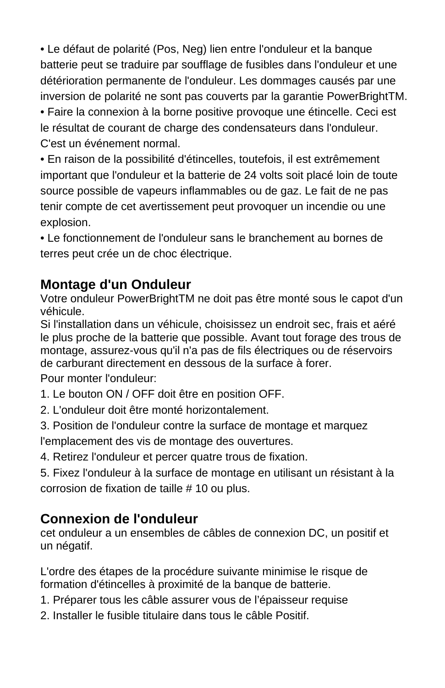• Le défaut de polarité (Pos, Neg) lien entre l'onduleur et la banque batterie peut se traduire par soufflage de fusibles dans l'onduleur et une détérioration permanente de l'onduleur. Les dommages causés par une inversion de polarité ne sont pas couverts par la garantie PowerBrightTM.

• Faire la connexion à la borne positive provoque une étincelle. Ceci est le résultat de courant de charge des condensateurs dans l'onduleur. C'est un événement normal.

• En raison de la possibilité d'étincelles, toutefois, il est extrêmement important que l'onduleur et la batterie de 24 volts soit placé loin de toute source possible de vapeurs inflammables ou de gaz. Le fait de ne pas tenir compte de cet avertissement peut provoquer un incendie ou une explosion.

• Le fonctionnement de l'onduleur sans le branchement au bornes de terres peut crée un de choc électrique.

## **Montage d'un Onduleur**

Votre onduleur PowerBrightTM ne doit pas être monté sous le capot d'un véhicule.

Si l'installation dans un véhicule, choisissez un endroit sec, frais et aéré le plus proche de la batterie que possible. Avant tout forage des trous de montage, assurez-vous qu'il n'a pas de fils électriques ou de réservoirs de carburant directement en dessous de la surface à forer.

Pour monter l'onduleur:

- 1. Le bouton ON / OFF doit être en position OFF.
- 2. L'onduleur doit être monté horizontalement.
- 3. Position de l'onduleur contre la surface de montage et marquez

l'emplacement des vis de montage des ouvertures.

4. Retirez l'onduleur et percer quatre trous de fixation.

5. Fixez l'onduleur à la surface de montage en utilisant un résistant à la corrosion de fixation de taille # 10 ou plus.

## **Connexion de l'onduleur**

cet onduleur a un ensembles de câbles de connexion DC, un positif et un négatif.

L'ordre des étapes de la procédure suivante minimise le risque de formation d'étincelles à proximité de la banque de batterie.

- 1. Préparer tous les câble assurer vous de l'épaisseur requise
- 2. Installer le fusible titulaire dans tous le câble Positif.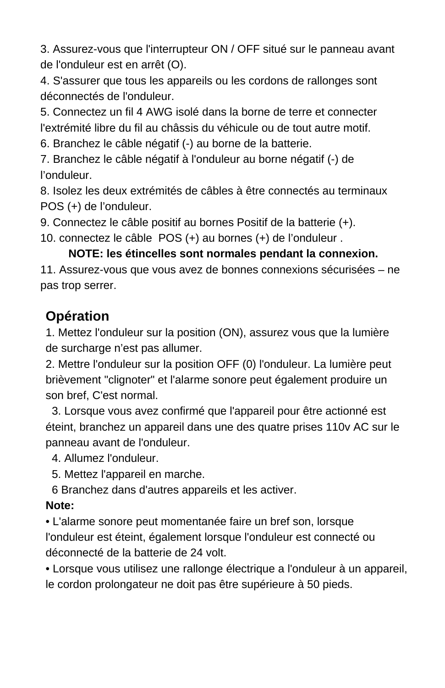3. Assurez-vous que l'interrupteur ON / OFF situé sur le panneau avant de l'onduleur est en arrêt (O).

4. S'assurer que tous les appareils ou les cordons de rallonges sont déconnectés de l'onduleur.

5. Connectez un fil 4 AWG isolé dans la borne de terre et connecter l'extrémité libre du fil au châssis du véhicule ou de tout autre motif.

6. Branchez le câble négatif (-) au borne de la batterie.

7. Branchez le câble négatif à l'onduleur au borne négatif (-) de l'onduleur.

8. Isolez les deux extrémités de câbles à être connectés au terminaux POS (+) de l'onduleur.

9. Connectez le câble positif au bornes Positif de la batterie (+).

10. connectez le câble POS (+) au bornes (+) de l'onduleur .

#### **NOTE: les étincelles sont normales pendant la connexion.**

11. Assurez-vous que vous avez de bonnes connexions sécurisées – ne pas trop serrer.

## **Opération**

1. Mettez l'onduleur sur la position (ON), assurez vous que la lumière de surcharge n'est pas allumer.

2. Mettre l'onduleur sur la position OFF (0) l'onduleur. La lumière peut brièvement "clignoter" et l'alarme sonore peut également produire un son bref, C'est normal.

 3. Lorsque vous avez confirmé que l'appareil pour être actionné est éteint, branchez un appareil dans une des quatre prises 110v AC sur le panneau avant de l'onduleur.

4. Allumez l'onduleur.

5. Mettez l'appareil en marche.

6 Branchez dans d'autres appareils et les activer.

#### **Note:**

• L'alarme sonore peut momentanée faire un bref son, lorsque l'onduleur est éteint, également lorsque l'onduleur est connecté ou déconnecté de la batterie de 24 volt.

• Lorsque vous utilisez une rallonge électrique a l'onduleur à un appareil, le cordon prolongateur ne doit pas être supérieure à 50 pieds.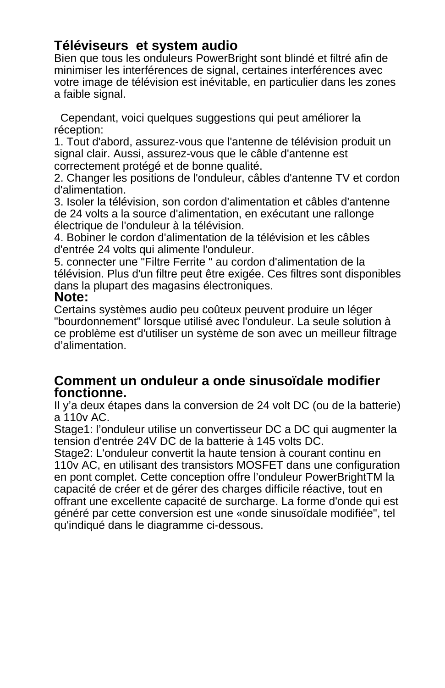#### **Téléviseurs et system audio**

Bien que tous les onduleurs PowerBright sont blindé et filtré afin de minimiser les interférences de signal, certaines interférences avec votre image de télévision est inévitable, en particulier dans les zones a faible signal.

 Cependant, voici quelques suggestions qui peut améliorer la réception:

1. Tout d'abord, assurez-vous que l'antenne de télévision produit un signal clair. Aussi, assurez-vous que le câble d'antenne est correctement protégé et de bonne qualité.

2. Changer les positions de l'onduleur, câbles d'antenne TV et cordon d'alimentation.

3. Isoler la télévision, son cordon d'alimentation et câbles d'antenne de 24 volts a la source d'alimentation, en exécutant une rallonge électrique de l'onduleur à la télévision.

4. Bobiner le cordon d'alimentation de la télévision et les câbles d'entrée 24 volts qui alimente l'onduleur.

5. connecter une "Filtre Ferrite " au cordon d'alimentation de la télévision. Plus d'un filtre peut être exigée. Ces filtres sont disponibles dans la plupart des magasins électroniques.

#### **Note:**

Certains systèmes audio peu coûteux peuvent produire un léger "bourdonnement" lorsque utilisé avec l'onduleur. La seule solution à ce problème est d'utiliser un système de son avec un meilleur filtrage d'alimentation.

#### **Comment un onduleur a onde sinusoïdale modifier fonctionne.**

Il y'a deux étapes dans la conversion de 24 volt DC (ou de la batterie) a 110v AC.

Stage1: l'onduleur utilise un convertisseur DC a DC qui augmenter la tension d'entrée 24V DC de la batterie à 145 volts DC.

Stage2: L'onduleur convertit la haute tension à courant continu en 110v AC, en utilisant des transistors MOSFET dans une configuration en pont complet. Cette conception offre l'onduleur PowerBrightTM la capacité de créer et de gérer des charges difficile réactive, tout en offrant une excellente capacité de surcharge. La forme d'onde qui est généré par cette conversion est une «onde sinusoïdale modifiée", tel qu'indiqué dans le diagramme ci-dessous.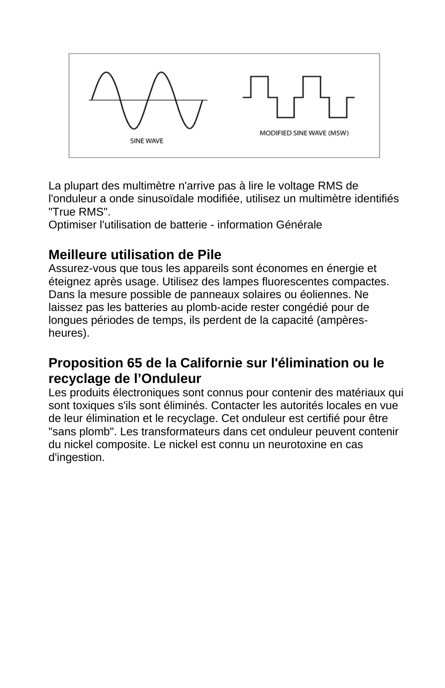

La plupart des multimètre n'arrive pas à lire le voltage RMS de l'onduleur a onde sinusoïdale modifiée, utilisez un multimètre identifiés "True RMS".

Optimiser l'utilisation de batterie - information Générale

## **Meilleure utilisation de Pile**

Assurez-vous que tous les appareils sont économes en énergie et éteignez après usage. Utilisez des lampes fluorescentes compactes. Dans la mesure possible de panneaux solaires ou éoliennes. Ne laissez pas les batteries au plomb-acide rester congédié pour de longues périodes de temps, ils perdent de la capacité (ampèresheures).

# **Proposition 65 de la Californie sur l'élimination ou le recyclage de l'Onduleur**<br>Les produits électroniques sont connus pour contenir des matériaux qui

sont toxiques s'ils sont éliminés. Contacter les autorités locales en vue de leur élimination et le recyclage. Cet onduleur est certifié pour être "sans plomb". Les transformateurs dans cet onduleur peuvent contenir du nickel composite. Le nickel est connu un neurotoxine en cas d'ingestion.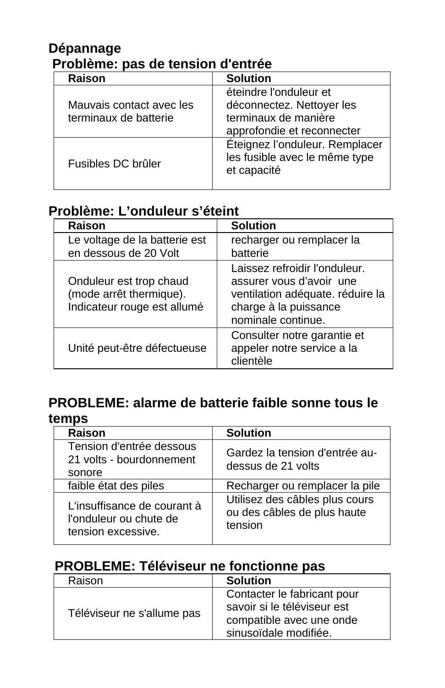#### **Dépannage Problème: pas de tension d'entrée**

| Raison                                            | <b>Solution</b>                                                                                           |
|---------------------------------------------------|-----------------------------------------------------------------------------------------------------------|
| Mauvais contact avec les<br>terminaux de batterie | éteindre l'onduleur et<br>déconnectez. Nettoyer les<br>terminaux de manière<br>approfondie et reconnecter |
| Fusibles DC brûler                                | Éteignez l'onduleur. Remplacer<br>les fusible avec le même type<br>et capacité                            |

## **Problème: L'onduleur s'éteint**

| Raison                                                                            | <b>Solution</b>                                                                                                                              |
|-----------------------------------------------------------------------------------|----------------------------------------------------------------------------------------------------------------------------------------------|
| Le voltage de la batterie est<br>en dessous de 20 Volt                            | recharger ou remplacer la<br>batterie                                                                                                        |
| Onduleur est trop chaud<br>(mode arrêt thermique).<br>Indicateur rouge est allumé | Laissez refroidir l'onduleur.<br>assurer vous d'avoir une<br>ventilation adéquate. réduire la<br>charge à la puissance<br>nominale continue. |
| Unité peut-être défectueuse                                                       | Consulter notre garantie et<br>appeler notre service a la<br>clientèle                                                                       |

#### **PROBLEME: alarme de batterie faible sonne tous le temps**

| טטוווט                                                                      |                                                                          |  |
|-----------------------------------------------------------------------------|--------------------------------------------------------------------------|--|
| Raison                                                                      | <b>Solution</b>                                                          |  |
| Tension d'entrée dessous<br>21 volts - bourdonnement<br>sonore              | Gardez la tension d'entrée au-<br>dessus de 21 volts                     |  |
| faible état des piles                                                       | Recharger ou remplacer la pile                                           |  |
| L'insuffisance de courant à<br>l'onduleur ou chute de<br>tension excessive. | Utilisez des câbles plus cours<br>ou des câbles de plus haute<br>tension |  |

#### **PROBLEME: Téléviseur ne fonctionne pas**

| Raison                     | <b>Solution</b>                                                                                                 |  |
|----------------------------|-----------------------------------------------------------------------------------------------------------------|--|
| Téléviseur ne s'allume pas | Contacter le fabricant pour<br>savoir si le téléviseur est<br>compatible avec une onde<br>sinusoïdale modifiée. |  |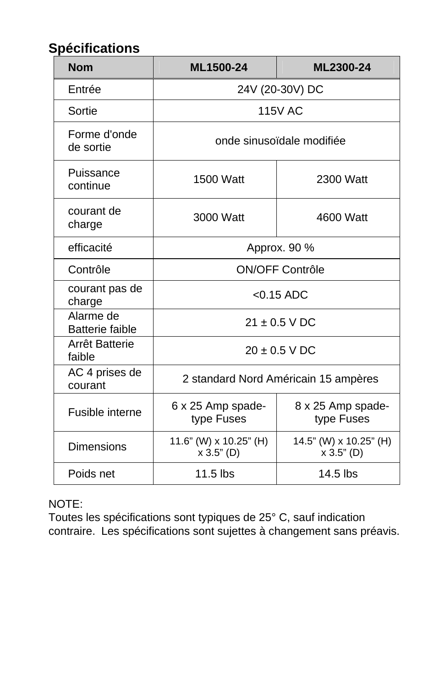## **Spécifications**

| <b>Nom</b>                          | ML1500-24                            | ML2300-24                            |
|-------------------------------------|--------------------------------------|--------------------------------------|
| Entrée                              | 24V (20-30V) DC                      |                                      |
| Sortie                              | <b>115V AC</b>                       |                                      |
| Forme d'onde<br>de sortie           | onde sinusoïdale modifiée            |                                      |
| Puissance<br>continue               | 1500 Watt<br>2300 Watt               |                                      |
| courant de<br>charge                | 3000 Watt                            | 4600 Watt                            |
| efficacité                          | Approx. 90 %                         |                                      |
| Contrôle                            | ON/OFF Contrôle                      |                                      |
| courant pas de<br>charge            | $< 0.15$ ADC                         |                                      |
| Alarme de<br><b>Batterie faible</b> | $21 \pm 0.5$ V DC                    |                                      |
| Arrêt Batterie<br>faible            | $20 \pm 0.5$ V DC                    |                                      |
| AC 4 prises de<br>courant           | 2 standard Nord Américain 15 ampères |                                      |
| Fusible interne                     | 6 x 25 Amp spade-<br>type Fuses      | 8 x 25 Amp spade-<br>type Fuses      |
| Dimensions                          | 11.6" (W) x 10.25" (H)<br>x 3.5" (D) | 14.5" (W) x 10.25" (H)<br>x 3.5" (D) |
| Poids net                           | $11.5$ lbs                           | 14.5 lbs                             |

#### NOTE:

Toutes les spécifications sont typiques de 25° C, sauf indication contraire. Les spécifications sont sujettes à changement sans préavis.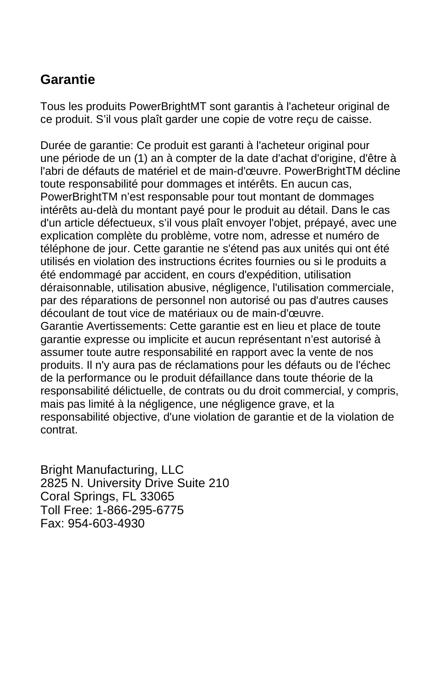## **Garantie**

Tous les produits PowerBrightMT sont garantis à l'acheteur original de ce produit. S'il vous plaît garder une copie de votre reçu de caisse.

Durée de garantie: Ce produit est garanti à l'acheteur original pour une période de un (1) an à compter de la date d'achat d'origine, d'être à l'abri de défauts de matériel et de main-d'œuvre. PowerBrightTM décline toute responsabilité pour dommages et intérêts. En aucun cas, PowerBrightTM n'est responsable pour tout montant de dommages intérêts au-delà du montant payé pour le produit au détail. Dans le cas d'un article défectueux, s'il vous plaît envoyer l'objet, prépayé, avec une explication complète du problème, votre nom, adresse et numéro de téléphone de jour. Cette garantie ne s'étend pas aux unités qui ont été utilisés en violation des instructions écrites fournies ou si le produits a été endommagé par accident, en cours d'expédition, utilisation déraisonnable, utilisation abusive, négligence, l'utilisation commerciale, par des réparations de personnel non autorisé ou pas d'autres causes découlant de tout vice de matériaux ou de main-d'œuvre. Garantie Avertissements: Cette garantie est en lieu et place de toute garantie expresse ou implicite et aucun représentant n'est autorisé à assumer toute autre responsabilité en rapport avec la vente de nos produits. Il n'y aura pas de réclamations pour les défauts ou de l'échec de la performance ou le produit défaillance dans toute théorie de la responsabilité délictuelle, de contrats ou du droit commercial, y compris, mais pas limité à la négligence, une négligence grave, et la responsabilité objective, d'une violation de garantie et de la violation de contrat.

Bright Manufacturing, LLC 2825 N. University Drive Suite 210 Coral Springs, FL 33065 Toll Free: 1-866-295-6775 Fax: 954-603-4930